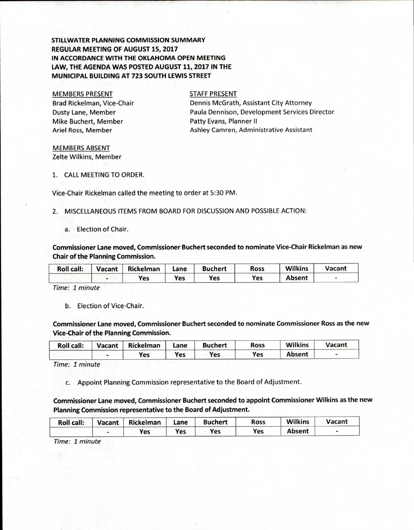## **STILLWATER PLANNING COMMISSION SUMMARY REGULAR MEETING OF AUGUST 15, 2017 IN ACCORDANCE WITH THE OKLAHOMA OPEN MEETING LAW, THE AGENDA WAS POSTED AUGUST 11, 2017 IN THE MUNICIPAL BUILDING AT 723 SOUTH LEWIS STREET**

## MEMBERS PRESENT

Brad Rickelman, Vice-Chair Dusty Lane, Member Mike Buchert, Member Ariel Ross, Member

## STAFF PRESENT

Dennis McGrath, Assistant City Attorney Paula Dennison, Development Services Director Patty Evans, Planner II Ashley Camren, Administrative Assistant

MEMBERS ABSENT Zelte Wilkins, Member

1. CALL MEETING TO ORDER.

Vice-Chair Rickelman called the meeting to order at 5:30 PM.

- 2. MISCELLANEOUS ITEMS FROM BOARD FOR DISCUSSION AND POSSIBLE ACTION:
	- a. Election of Chair.

**Commissioner Lane moved, Commissioner Buchert seconded to** nominate Vice-Chair Rickelman as new **Chair of the Planning Commission.** 

| <b>Roll call:</b> | Vacant | Rickelman | Lane       | <b>Buchert</b> | Ross | <b>Wilkins</b> | <b>Vacant</b> |
|-------------------|--------|-----------|------------|----------------|------|----------------|---------------|
|                   |        | Yes       | <b>Yes</b> | Yes            | Yes  | Absent         |               |

Time: 1 minute

b. Election of Vice-Chair.

**Commissioner Lane moved, Commissioner Buchert seconded to nominate Commissioner Ross as the new Vice-Chair of the Planning Commission.** 

| <b>Roll call:</b> | Vacant | Rickelman | Lane       | <b>Buchert</b> | Ross | <b>Wilkins</b> | Vacant |
|-------------------|--------|-----------|------------|----------------|------|----------------|--------|
|                   |        | Yes       | <b>Yes</b> | <b>Yes</b>     | Yes  | Absent         |        |

Time: 1 minute

c. Appoint Planning Commission representative to the Board of Adjustment.

**Commissioner Lane moved, Commissioner Buchert seconded to appoint Commissioner Wilkins as the new Planning Commission representative to the Board of Adjustment.** 

| Roll call: | Vacant | Rickelman | Lane | <b>Buchert</b> | <b>Ross</b> | <b>Wilkins</b> | <b>Vacant</b> |
|------------|--------|-----------|------|----------------|-------------|----------------|---------------|
|            |        | Yes       | Yes  | Yes            | Yes         | <b>Absent</b>  |               |

Time: 1 minute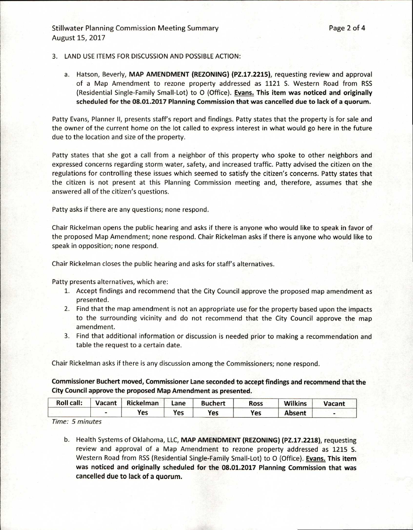Stillwater Planning Commission Meeting Summary Page 2 of 4 August 15, 2017

## 3. LAND USE ITEMS FOR DISCUSSION AND POSSIBLE ACTION:

a. Hatson, Beverly, **MAP AMENDMENT (REZONING) (P2.17.2215),** requesting review and approval of a Map Amendment to rezone property addressed as 1121 S. Western Road from RSS (Residential Single-Family Small-Lot) to 0 (Office). **Evans. This item was noticed and originally scheduled for the 08.01.2017 Planning Commission that was cancelled due to lack of a quorum.** 

Patty Evans, Planner II, presents staff's report and findings. Patty states that the property is for sale and the owner of the current home on the lot called to express interest in what would go here in the future due to the location and size of the property.

Patty states that she got a call from a neighbor of this property who spoke to other neighbors and expressed concerns regarding storm water, safety, and increased traffic. Patty advised the citizen on the regulations for controlling these issues which seemed to satisfy the citizen's concerns. Patty states that the citizen is not present at this Planning Commission meeting and, therefore, assumes that she answered all of the citizen's questions.

Patty asks if there are any questions; none respond.

Chair Rickelman opens the public hearing and asks if there is anyone who would like to speak in favor of the proposed Map Amendment; none respond. Chair Rickelman asks if there is anyone who would like to speak in opposition; none respond.

Chair Rickelman closes the public hearing and asks for staff's alternatives.

Patty presents alternatives, which are:

- 1. Accept findings and recommend that the City Council approve the proposed map amendment as presented.
- 2. Find that the map amendment is not an appropriate use for the property based upon the impacts to the surrounding vicinity and do not recommend that the City Council approve the map amendment.
- 3. Find that additional information or discussion is needed prior to making a recommendation and table the request to a certain date.

Chair Rickelman asks if there is any discussion among the Commissioners; none respond.

**Commissioner Buchert moved, Commissioner Lane seconded to accept findings and recommend that the City Council approve the proposed Map Amendment as presented.** 

| <b>Roll call:</b> | Vacant | <b>Rickelman</b> | Lane | <b>Buchert</b> | <b>Ross</b> | <b>Wilkins</b> | Vacant |
|-------------------|--------|------------------|------|----------------|-------------|----------------|--------|
|                   |        | Yes              | Yes  | Yes            | Yes         | Absent         |        |

Time: 5 minutes

b. Health Systems of Oklahoma, LLC, **MAP AMENDMENT (REZONING) (PZ.17.2218),** requesting review and approval of a Map Amendment to rezone property addressed as 1215 S. Western Road from RSS (Residential Single-Family Small-Lot) to 0 (Office). **Evans. This item was noticed and originally scheduled for the 08.01.2017 Planning Commission that was cancelled due to lack of a quorum.**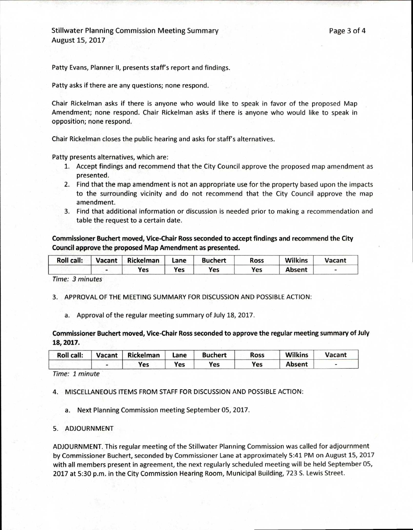Patty Evans, Planner II, presents staff's report and findings.

Patty asks if there are any questions; none respond.

Chair Rickelman asks if there is anyone who would like to speak in favor of the proposed Map Amendment; none respond. Chair Rickelman asks if there is anyone who would like to speak in opposition; none respond.

Chair Rickelman closes the public hearing and asks for staff's alternatives.

Patty presents alternatives, which are:

- 1. Accept findings and recommend that the City Council approve the proposed map amendment as presented.
- 2. Find that the map amendment is not an appropriate use for the property based upon the impacts to the surrounding vicinity and do not recommend that the City Council approve the map amendment.
- 3. Find that additional information or discussion is needed prior to making a recommendation and table the request to a certain date.

Commissioner Buchert moved, Vice-Chair Ross seconded to accept findings and recommend the City Council **approve the proposed Map Amendment as presented.** 

| <b>Roll call:</b> | Vacant | Rickelman | Lane | Buchert | Ross | <b>Wilkins</b> | Vacant |
|-------------------|--------|-----------|------|---------|------|----------------|--------|
|                   |        | Yes       | Yes  | Yes     | Yes  | <b>Absent</b>  |        |

Time: 3 minutes

3. APPROVAL OF THE MEETING SUMMARY FOR DISCUSSION AND POSSIBLE ACTION:

a. Approval of the regular meeting summary of July 18, 2017.

Commissioner Buchert moved, Vice-Chair Ross seconded to approve the regular meeting summary of July **18, 2017.** 

| <b>Roll call:</b> | Vacant | Rickelman | Lane | <b>Buchert</b> | <b>Ross</b> | <b>Wilkins</b> | Vacant |
|-------------------|--------|-----------|------|----------------|-------------|----------------|--------|
|                   |        | Yes       | Yes  | Yes            | Yes         | Absent         |        |

Time: 1 minute

4. MISCELLANEOUS ITEMS FROM STAFF FOR DISCUSSION AND POSSIBLE ACTION:

a. Next Planning Commission meeting September 05, 2017.

5. ADJOURNMENT

ADJOURNMENT. This regular meeting of the Stillwater Planning Commission was called for adjournment by Commissioner Buchert, seconded by Commissioner Lane at approximately 5:41 PM on August 15, 2017 with all members present in agreement, the next regularly scheduled meeting will be held September 05, 2017 at 5:30 p.m. in the City Commission Hearing Room, Municipal Building, 723 S. Lewis Street.